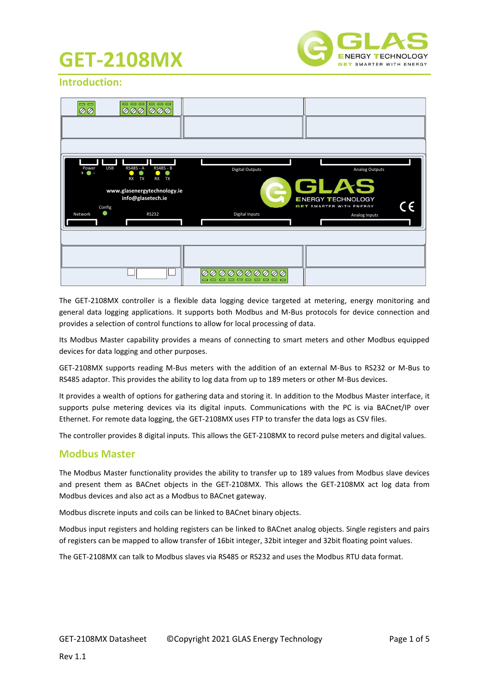

### **Introduction:**

| $= 1$<br>Ø Ø                                                  | <b>----</b><br>000<br>ののの                                                                                              |                                                 |                                                                                                                            |
|---------------------------------------------------------------|------------------------------------------------------------------------------------------------------------------------|-------------------------------------------------|----------------------------------------------------------------------------------------------------------------------------|
| <b>USB</b><br>Power<br>$+$ $\bullet$ $-$<br>Config<br>Network | RS485 - A<br>RS485 - B<br>TX<br>RX TX<br><b>RX</b><br>www.glasenergytechnology.ie<br>info@glasetech.ie<br><b>RS232</b> | <b>Digital Outputs</b><br><b>Digital Inputs</b> | Analog Outputs<br><b>GLAS</b><br><b>ENERGY TECHNOLOGY</b><br>$\epsilon$<br><b>GET SMARTER WITH ENERGY</b><br>Analog Inputs |
|                                                               |                                                                                                                        | 000000000<br>$\oslash$<br>-------               |                                                                                                                            |

The GET-2108MX controller is a flexible data logging device targeted at metering, energy monitoring and general data logging applications. It supports both Modbus and M-Bus protocols for device connection and provides a selection of control functions to allow for local processing of data.

Its Modbus Master capability provides a means of connecting to smart meters and other Modbus equipped devices for data logging and other purposes.

GET-2108MX supports reading M-Bus meters with the addition of an external M-Bus to RS232 or M-Bus to RS485 adaptor. This provides the ability to log data from up to 189 meters or other M-Bus devices.

It provides a wealth of options for gathering data and storing it. In addition to the Modbus Master interface, it supports pulse metering devices via its digital inputs. Communications with the PC is via BACnet/IP over Ethernet. For remote data logging, the GET-2108MX uses FTP to transfer the data logs as CSV files.

The controller provides 8 digital inputs. This allows the GET-2108MX to record pulse meters and digital values.

#### **Modbus Master**

The Modbus Master functionality provides the ability to transfer up to 189 values from Modbus slave devices and present them as BACnet objects in the GET-2108MX. This allows the GET-2108MX act log data from Modbus devices and also act as a Modbus to BACnet gateway.

Modbus discrete inputs and coils can be linked to BACnet binary objects.

Modbus input registers and holding registers can be linked to BACnet analog objects. Single registers and pairs of registers can be mapped to allow transfer of 16bit integer, 32bit integer and 32bit floating point values.

The GET-2108MX can talk to Modbus slaves via RS485 or RS232 and uses the Modbus RTU data format.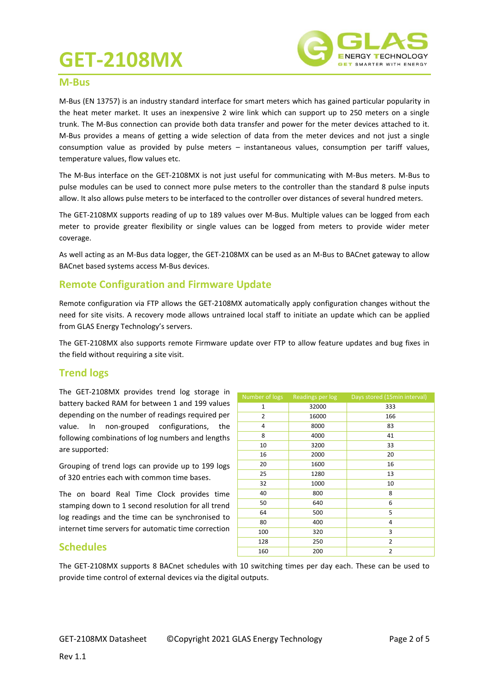

#### **M-Bus**

M-Bus (EN 13757) is an industry standard interface for smart meters which has gained particular popularity in the heat meter market. It uses an inexpensive 2 wire link which can support up to 250 meters on a single trunk. The M-Bus connection can provide both data transfer and power for the meter devices attached to it. M-Bus provides a means of getting a wide selection of data from the meter devices and not just a single consumption value as provided by pulse meters – instantaneous values, consumption per tariff values, temperature values, flow values etc.

The M-Bus interface on the GET-2108MX is not just useful for communicating with M-Bus meters. M-Bus to pulse modules can be used to connect more pulse meters to the controller than the standard 8 pulse inputs allow. It also allows pulse meters to be interfaced to the controller over distances of several hundred meters.

The GET-2108MX supports reading of up to 189 values over M-Bus. Multiple values can be logged from each meter to provide greater flexibility or single values can be logged from meters to provide wider meter coverage.

As well acting as an M-Bus data logger, the GET-2108MX can be used as an M-Bus to BACnet gateway to allow BACnet based systems access M-Bus devices.

#### **Remote Configuration and Firmware Update**

Remote configuration via FTP allows the GET-2108MX automatically apply configuration changes without the need for site visits. A recovery mode allows untrained local staff to initiate an update which can be applied from GLAS Energy Technology's servers.

The GET-2108MX also supports remote Firmware update over FTP to allow feature updates and bug fixes in the field without requiring a site visit.

#### **Trend logs**

The GET-2108MX provides trend log storage in battery backed RAM for between 1 and 199 values depending on the number of readings required per value. In non-grouped configurations, the following combinations of log numbers and lengths are supported:

Grouping of trend logs can provide up to 199 logs of 320 entries each with common time bases.

The on board Real Time Clock provides time stamping down to 1 second resolution for all trend log readings and the time can be synchronised to internet time servers for automatic time correction

| Number of logs | Readings per log | Days stored (15min interval) |
|----------------|------------------|------------------------------|
| 1              | 32000            | 333                          |
| $\overline{2}$ | 16000            | 166                          |
| 4              | 8000             | 83                           |
| 8              | 4000             | 41                           |
| 10             | 3200             | 33                           |
| 16             | 2000             | 20                           |
| 20             | 1600             | 16                           |
| 25             | 1280             | 13                           |
| 32             | 1000             | 10                           |
| 40             | 800              | 8                            |
| 50             | 640              | 6                            |
| 64             | 500              | 5                            |
| 80             | 400              | 4                            |
| 100            | 320              | 3                            |
| 128            | 250              | 2                            |
| 160            | 200              | $\overline{2}$               |

### **Schedules**

The GET-2108MX supports 8 BACnet schedules with 10 switching times per day each. These can be used to provide time control of external devices via the digital outputs.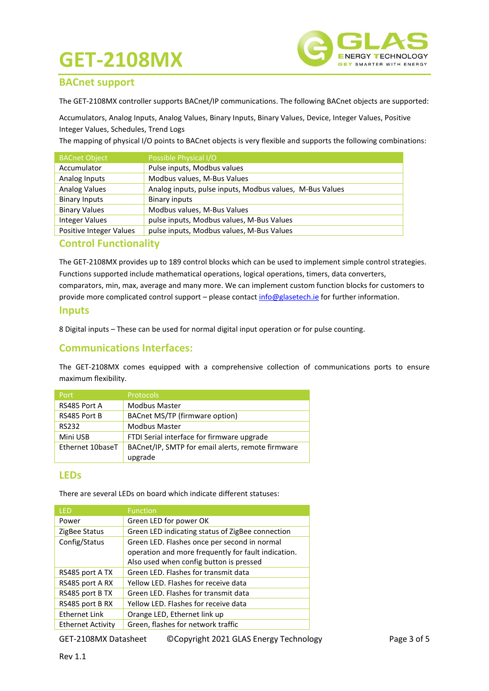

#### **BACnet support**

The GET-2108MX controller supports BACnet/IP communications. The following BACnet objects are supported:

Accumulators, Analog Inputs, Analog Values, Binary Inputs, Binary Values, Device, Integer Values, Positive Integer Values, Schedules, Trend Logs

The mapping of physical I/O points to BACnet objects is very flexible and supports the following combinations:

| <b>BACnet Object</b>    | Possible Physical I/O                                    |
|-------------------------|----------------------------------------------------------|
| Accumulator             | Pulse inputs, Modbus values                              |
| Analog Inputs           | Modbus values, M-Bus Values                              |
| <b>Analog Values</b>    | Analog inputs, pulse inputs, Modbus values, M-Bus Values |
| <b>Binary Inputs</b>    | <b>Binary inputs</b>                                     |
| <b>Binary Values</b>    | Modbus values, M-Bus Values                              |
| <b>Integer Values</b>   | pulse inputs, Modbus values, M-Bus Values                |
| Positive Integer Values | pulse inputs, Modbus values, M-Bus Values                |

#### **Control Functionality**

The GET-2108MX provides up to 189 control blocks which can be used to implement simple control strategies. Functions supported include mathematical operations, logical operations, timers, data converters, comparators, min, max, average and many more. We can implement custom function blocks for customers to provide more complicated control support – please contac[t info@glasetech.ie](mailto:info@glasetech.ie) for further information.

#### **Inputs**

8 Digital inputs – These can be used for normal digital input operation or for pulse counting.

#### **Communications Interfaces:**

The GET-2108MX comes equipped with a comprehensive collection of communications ports to ensure maximum flexibility.

| Port             | <b>Protocols</b>                                  |
|------------------|---------------------------------------------------|
| RS485 Port A     | <b>Modbus Master</b>                              |
| RS485 Port B     | BACnet MS/TP (firmware option)                    |
| <b>RS232</b>     | <b>Modbus Master</b>                              |
| Mini USB         | FTDI Serial interface for firmware upgrade        |
| Ethernet 10baseT | BACnet/IP, SMTP for email alerts, remote firmware |
|                  | upgrade                                           |

#### **LEDs**

There are several LEDs on board which indicate different statuses:

| I FD                     | <b>Function</b>                                     |
|--------------------------|-----------------------------------------------------|
| Power                    | Green LED for power OK                              |
| ZigBee Status            | Green LED indicating status of ZigBee connection    |
| Config/Status            | Green LED. Flashes once per second in normal        |
|                          | operation and more frequently for fault indication. |
|                          | Also used when config button is pressed             |
| RS485 port A TX          | Green LED. Flashes for transmit data                |
| RS485 port A RX          | Yellow LED. Flashes for receive data                |
| RS485 port B TX          | Green LED. Flashes for transmit data                |
| RS485 port B RX          | Yellow LED. Flashes for receive data                |
| <b>Ethernet Link</b>     | Orange LED, Ethernet link up                        |
| <b>Ethernet Activity</b> | Green, flashes for network traffic                  |

GET-2108MX Datasheet ©Copyright 2021 GLAS Energy Technology Page 3 of 5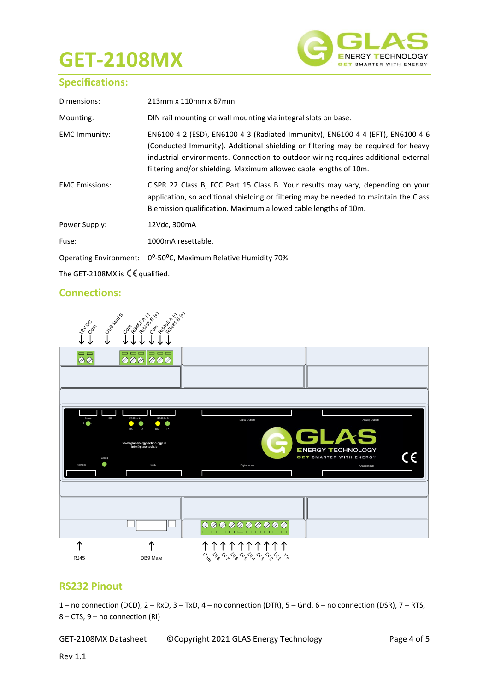

### **Specifications:**

| Dimensions:                   | 213mm x 110mm x 67mm                                                                                                                                                                                                                                                                                                           |
|-------------------------------|--------------------------------------------------------------------------------------------------------------------------------------------------------------------------------------------------------------------------------------------------------------------------------------------------------------------------------|
| Mounting:                     | DIN rail mounting or wall mounting via integral slots on base.                                                                                                                                                                                                                                                                 |
| <b>EMC Immunity:</b>          | EN6100-4-2 (ESD), EN6100-4-3 (Radiated Immunity), EN6100-4-4 (EFT), EN6100-4-6<br>(Conducted Immunity). Additional shielding or filtering may be required for heavy<br>industrial environments. Connection to outdoor wiring requires additional external<br>filtering and/or shielding. Maximum allowed cable lengths of 10m. |
| <b>EMC</b> Emissions:         | CISPR 22 Class B, FCC Part 15 Class B. Your results may vary, depending on your<br>application, so additional shielding or filtering may be needed to maintain the Class<br>B emission qualification. Maximum allowed cable lengths of 10m.                                                                                    |
| Power Supply:                 | 12Vdc, 300mA                                                                                                                                                                                                                                                                                                                   |
| Fuse:                         | 1000mA resettable.                                                                                                                                                                                                                                                                                                             |
| <b>Operating Environment:</b> | 0 <sup>o</sup> -50 <sup>o</sup> C, Maximum Relative Humidity 70%                                                                                                                                                                                                                                                               |

The GET-2108MX is  $\mathsf{C}\mathsf{E}$  qualified.

### **Connections:**



#### **RS232 Pinout**

1 – no connection (DCD), 2 – RxD, 3 – TxD, 4 – no connection (DTR), 5 – Gnd, 6 – no connection (DSR), 7 – RTS, 8 – CTS, 9 – no connection (RI)

GET-2108MX Datasheet ©Copyright 2021 GLAS Energy Technology Page 4 of 5